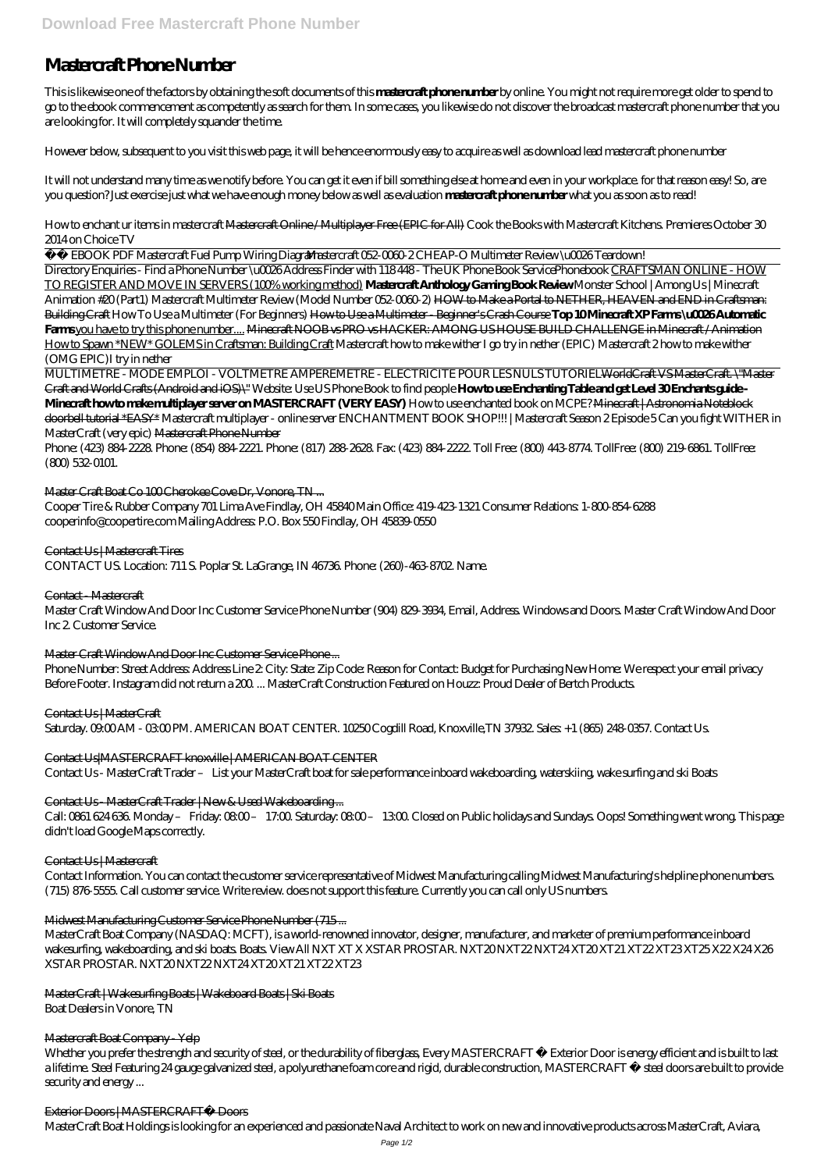# **Mastercraft Phone Number**

This is likewise one of the factors by obtaining the soft documents of this **mastercraft phone number** by online. You might not require more get older to spend to go to the ebook commencement as competently as search for them. In some cases, you likewise do not discover the broadcast mastercraft phone number that you are looking for. It will completely squander the time.

However below, subsequent to you visit this web page, it will be hence enormously easy to acquire as well as download lead mastercraft phone number

It will not understand many time as we notify before. You can get it even if bill something else at home and even in your workplace. for that reason easy! So, are you question? Just exercise just what we have enough money below as well as evaluation **mastercraft phone number** what you as soon as to read!

How to enchant ur items in mastercraft Mastercraft Online / Multiplayer Free (EPIC for All) *Cook the Books with Mastercraft Kitchens. Premieres October 30 2014 on Choice TV*

EBOOK PDF Mastercraft Fuel Pump Wiring Diagram*Mastercraft 052-0060-2 CHEAP-O Multimeter Review \u0026 Teardown!* 

Phone: (423) 884-2228. Phone: (854) 884-2221. Phone: (817) 288-2628. Fax: (423) 884-2222. Toll Free: (800) 443-8774. TollFree: (800) 219-6861. TollFree: (800) 532-0101.

## Master Craft Boat Co 100 Cherokee Cove Dr, Vonore, TN ...

Directory Enquiries - Find a Phone Number \u0026 Address Finder with 118 448 - The UK Phone Book Service*Phonebook* CRAFTSMAN ONLINE - HOW TO REGISTER AND MOVE IN SERVERS (100% working method) **Mastercraft Anthology Gaming Book Review** *Monster School | Among Us | Minecraft Animation #20 (Part1) Mastercraft Multimeter Review (Model Number 052-0060-2)* HOW to Make a Portal to NETHER, HEAVEN and END in Craftsman: Building Craft *How To Use a Multimeter (For Beginners)* How to Use a Multimeter - Beginner's Crash Course **Top 10 Minecraft XP Farms \u0026 Automatic Farms** you have to try this phone number.... Minecraft NOOB vs PRO vs HACKER: AMONG US HOUSE BUILD CHALLENGE in Minecraft / Animation How to Spawn \*NEW\* GOLEMS in Craftsman: Building Craft Mastercraft how to make wither I go try in nether (EPIC) *Mastercraft 2 how to make wither (OMG EPIC)I try in nether*

Call: 0861 624 636 Monday – Friday: 08:00 – 17:00. Saturday: 08:00 – 13:00. Closed on Public holidays and Sundays. Oops! Something went wrong. This page didn't load Google Maps correctly.

MULTIMETRE - MODE EMPLOI - VOLTMETRE AMPEREMETRE - ELECTRICITE POUR LES NULS TUTORIELWorldCraft VS MasterCraft. \"Master Craft and World Crafts (Android and iOS)\" Website: Use US Phone Book to find people **How to use Enchanting Table and get Level 30 Enchants guide - Minecraft how to make multiplayer server on MASTERCRAFT (VERY EASY)** How to use enchanted book on MCPE? Minecraft | Astronomia Noteblock doorbell tutorial \*EASY\* *Mastercraft multiplayer - online server ENCHANTMENT BOOK SHOP!!! | Mastercraft Season 2 Episode 5 Can you fight WITHER in MasterCraft (very epic)* Mastercraft Phone Number

Whether you prefer the strength and security of steel, or the durability of fiberglass, Every MASTERCRAFT ® Exterior Door is energy efficient and is built to last a lifetime. Steel Featuring 24 gauge galvanized steel, a polyurethane foam core and rigid, durable construction, MASTERCRAFT ® steel doors are built to provide security and energy ...

Cooper Tire & Rubber Company 701 Lima Ave Findlay, OH 45840 Main Office: 419-423-1321 Consumer Relations: 1-800-854-6288 cooperinfo@coopertire.com Mailing Address: P.O. Box 550 Findlay, OH 45839-0550

## Contact Us | Mastercraft Tires

CONTACT US. Location: 711 S. Poplar St. LaGrange, IN 46736. Phone: (260)-463-8702. Name.

## Contact - Mastercraft

Master Craft Window And Door Inc Customer Service Phone Number (904) 829-3934, Email, Address. Windows and Doors. Master Craft Window And Door Inc 2. Customer Service.

## Master Craft Window And Door Inc Customer Service Phone ...

Phone Number: Street Address: Address Line 2: City: State: Zip Code: Reason for Contact: Budget for Purchasing New Home: We respect your email privacy Before Footer. Instagram did not return a 200 ... MasterCraft Construction Featured on Houzz: Proud Dealer of Bertch Products.

## Contact Us | MasterCraft

Saturday. 09:00 AM - 03:00 PM. AMERICAN BOAT CENTER. 10250 Cogdill Road, Knoxville,TN 37932. Sales: +1 (865) 248-0357. Contact Us.

## Contact Us|MASTERCRAFT knoxville | AMERICAN BOAT CENTER

Contact Us - MasterCraft Trader – List your MasterCraft boat for sale performance inboard wakeboarding, waterskiing, wake surfing and ski Boats

## Contact Us - MasterCraft Trader | New & Used Wakeboarding ...

## Contact Us | Mastercraft

Contact Information. You can contact the customer service representative of Midwest Manufacturing calling Midwest Manufacturing's helpline phone numbers.

(715) 876-5555. Call customer service. Write review. does not support this feature. Currently you can call only US numbers.

#### Midwest Manufacturing Customer Service Phone Number (715 ...

MasterCraft Boat Company (NASDAQ: MCFT), is a world-renowned innovator, designer, manufacturer, and marketer of premium performance inboard wakesurfing, wakeboarding, and ski boats. Boats. View All NXT XT X XSTAR PROSTAR. NXT20 NXT22 NXT24 XT20 XT21 XT22 XT23 XT25 X22 X24 X26 XSTAR PROSTAR. NXT20 NXT22 NXT24 XT20 XT21 XT22 XT23

MasterCraft | Wakesurfing Boats | Wakeboard Boats | Ski Boats Boat Dealers in Vonore, TN

#### Mastercraft Boat Company Yelp

#### Exterior Doors | MASTERCRAFT® Doors

MasterCraft Boat Holdings is looking for an experienced and passionate Naval Architect to work on new and innovative products across MasterCraft, Aviara,